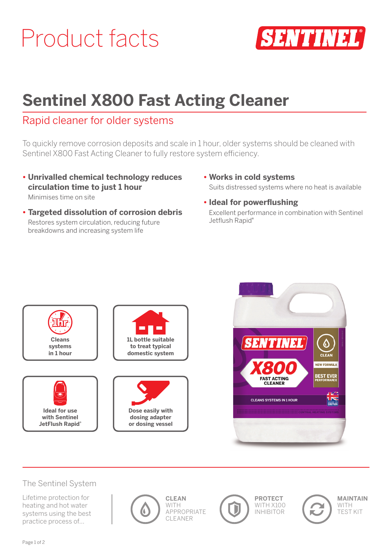# Product facts



# **Sentinel X800 Fast Acting Cleaner**

# Rapid cleaner for older systems

To quickly remove corrosion deposits and scale in 1 hour, older systems should be cleaned with Sentinel X800 Fast Acting Cleaner to fully restore system efficiency.

**• Unrivalled chemical technology reduces circulation time to just 1 hour**

Minimises time on site

- **Targeted dissolution of corrosion debris** Restores system circulation, reducing future breakdowns and increasing system life
- **Works in cold systems** Suits distressed systems where no heat is available
- **Ideal for powerflushing** Excellent performance in combination with Sentinel Jetflush Rapid<sup>®</sup>





#### The Sentinel System

Lifetime protection for heating and hot water systems using the best practice process of…





**PROTECT** WITH X100 INHIBITOR

D



**MAINTAIN** WITH TEST KIT